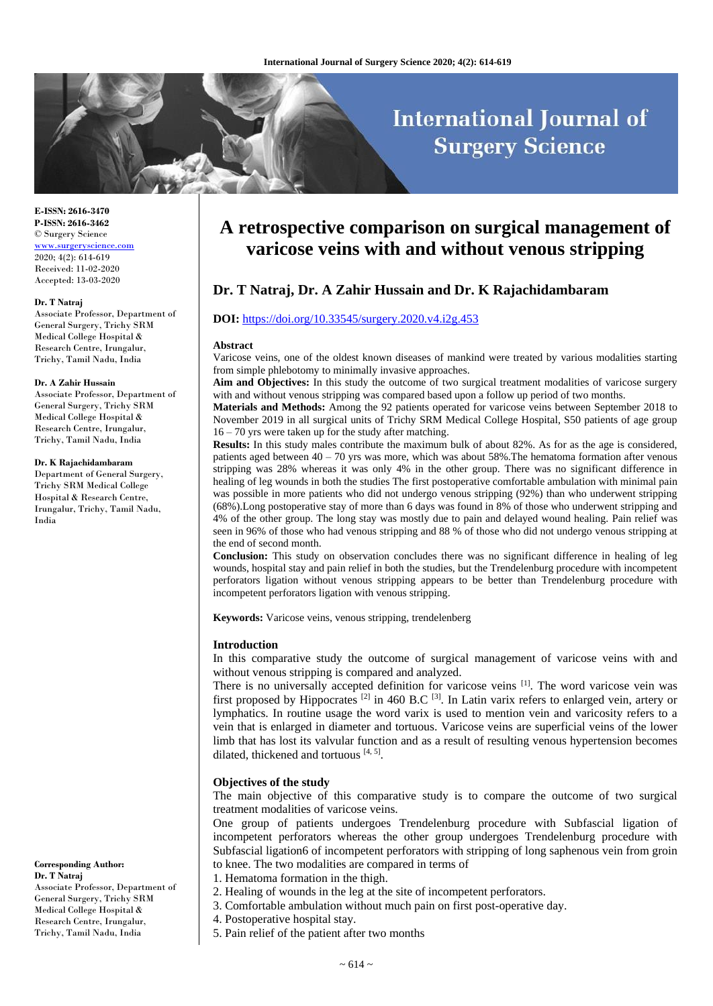# **International Journal of Surgery Science**

**E-ISSN: 2616-3470 P-ISSN: 2616-3462** © Surgery Science [www.surgeryscience.com](http://www.surgeryscience.com/) 2020; 4(2): 614-619 Received: 11-02-2020 Accepted: 13-03-2020

#### **Dr. T Natraj**

Associate Professor, Department of General Surgery, Trichy SRM Medical College Hospital & Research Centre, Irungalur, Trichy, Tamil Nadu, India

#### **Dr. A Zahir Hussain**

Associate Professor, Department of General Surgery, Trichy SRM Medical College Hospital & Research Centre, Irungalur, Trichy, Tamil Nadu, India

#### **Dr. K Rajachidambaram**

Department of General Surgery, Trichy SRM Medical College Hospital & Research Centre, Irungalur, Trichy, Tamil Nadu, India

**Corresponding Author: Dr. T Natraj** Associate Professor, Department of General Surgery, Trichy SRM Medical College Hospital & Research Centre, Irungalur, Trichy, Tamil Nadu, India

# **A retrospective comparison on surgical management of varicose veins with and without venous stripping**

# **Dr. T Natraj, Dr. A Zahir Hussain and Dr. K Rajachidambaram**

#### **DOI:** <https://doi.org/10.33545/surgery.2020.v4.i2g.453>

#### **Abstract**

Varicose veins, one of the oldest known diseases of mankind were treated by various modalities starting from simple phlebotomy to minimally invasive approaches.

**Aim and Objectives:** In this study the outcome of two surgical treatment modalities of varicose surgery with and without venous stripping was compared based upon a follow up period of two months.

**Materials and Methods:** Among the 92 patients operated for varicose veins between September 2018 to November 2019 in all surgical units of Trichy SRM Medical College Hospital, S50 patients of age group 16 – 70 yrs were taken up for the study after matching.

**Results:** In this study males contribute the maximum bulk of about 82%. As for as the age is considered, patients aged between 40 – 70 yrs was more, which was about 58%.The hematoma formation after venous stripping was 28% whereas it was only 4% in the other group. There was no significant difference in healing of leg wounds in both the studies The first postoperative comfortable ambulation with minimal pain was possible in more patients who did not undergo venous stripping (92%) than who underwent stripping (68%).Long postoperative stay of more than 6 days was found in 8% of those who underwent stripping and 4% of the other group. The long stay was mostly due to pain and delayed wound healing. Pain relief was seen in 96% of those who had venous stripping and 88 % of those who did not undergo venous stripping at the end of second month.

**Conclusion:** This study on observation concludes there was no significant difference in healing of leg wounds, hospital stay and pain relief in both the studies, but the Trendelenburg procedure with incompetent perforators ligation without venous stripping appears to be better than Trendelenburg procedure with incompetent perforators ligation with venous stripping.

**Keywords:** Varicose veins, venous stripping, trendelenberg

#### **Introduction**

In this comparative study the outcome of surgical management of varicose veins with and without venous stripping is compared and analyzed.

There is no universally accepted definition for varicose veins [1]. The word varicose vein was first proposed by Hippocrates  $^{[2]}$  in 460 B.C  $^{[3]}$ . In Latin varix refers to enlarged vein, artery or lymphatics. In routine usage the word varix is used to mention vein and varicosity refers to a vein that is enlarged in diameter and tortuous. Varicose veins are superficial veins of the lower limb that has lost its valvular function and as a result of resulting venous hypertension becomes dilated, thickened and tortuous [4, 5].

#### **Objectives of the study**

The main objective of this comparative study is to compare the outcome of two surgical treatment modalities of varicose veins.

One group of patients undergoes Trendelenburg procedure with Subfascial ligation of incompetent perforators whereas the other group undergoes Trendelenburg procedure with Subfascial ligation6 of incompetent perforators with stripping of long saphenous vein from groin to knee. The two modalities are compared in terms of

- 1. Hematoma formation in the thigh.
- 2. Healing of wounds in the leg at the site of incompetent perforators.
	- 3. Comfortable ambulation without much pain on first post-operative day.
- 4. Postoperative hospital stay.
- 5. Pain relief of the patient after two months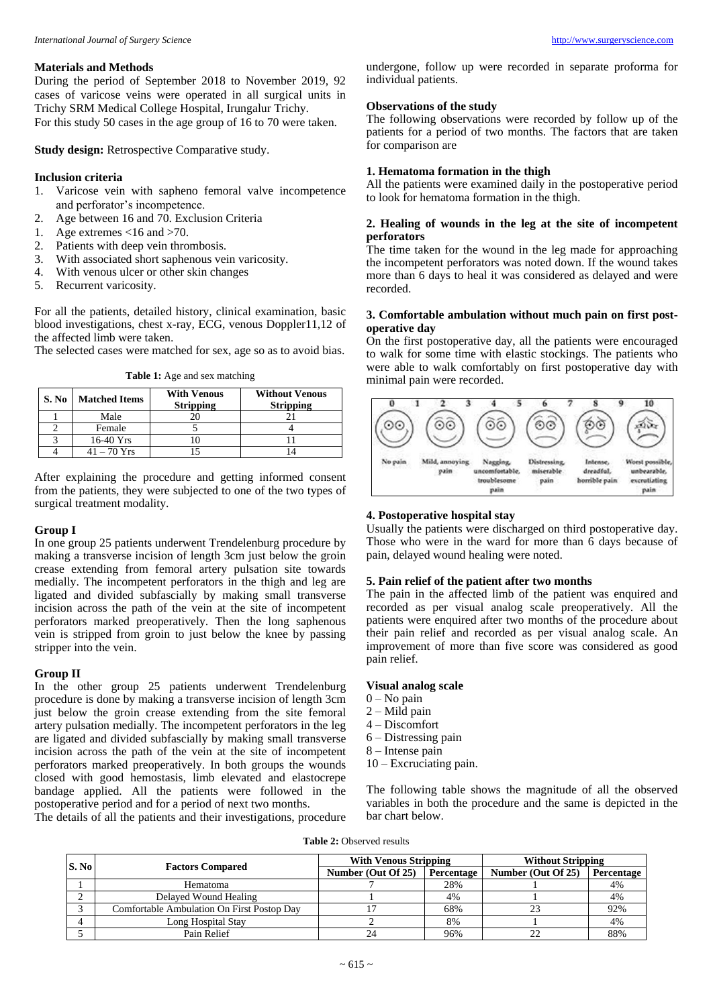# **Materials and Methods**

During the period of September 2018 to November 2019, 92 cases of varicose veins were operated in all surgical units in Trichy SRM Medical College Hospital, Irungalur Trichy. For this study 50 cases in the age group of 16 to 70 were taken.

**Study design:** Retrospective Comparative study.

#### **Inclusion criteria**

- 1. Varicose vein with sapheno femoral valve incompetence and perforator's incompetence.
- 2. Age between 16 and 70. Exclusion Criteria
- 1. Age extremes <16 and >70.
- 2. Patients with deep vein thrombosis.
- 3. With associated short saphenous vein varicosity.
- 4. With venous ulcer or other skin changes<br>5. Recurrent varicosity.
- Recurrent varicosity.

For all the patients, detailed history, clinical examination, basic blood investigations, chest x-ray, ECG, venous Doppler11,12 of the affected limb were taken.

The selected cases were matched for sex, age so as to avoid bias.

**Table 1:** Age and sex matching

| S. No | <b>Matched Items</b> | <b>With Venous</b><br><b>Stripping</b> | <b>Without Venous</b><br><b>Stripping</b> |
|-------|----------------------|----------------------------------------|-------------------------------------------|
|       | Male                 |                                        |                                           |
|       | Female               |                                        |                                           |
|       | $16-40$ Yrs          |                                        |                                           |
|       | $41 - 70$ Yrs        |                                        |                                           |

After explaining the procedure and getting informed consent from the patients, they were subjected to one of the two types of surgical treatment modality.

#### **Group I**

In one group 25 patients underwent Trendelenburg procedure by making a transverse incision of length 3cm just below the groin crease extending from femoral artery pulsation site towards medially. The incompetent perforators in the thigh and leg are ligated and divided subfascially by making small transverse incision across the path of the vein at the site of incompetent perforators marked preoperatively. Then the long saphenous vein is stripped from groin to just below the knee by passing stripper into the vein.

#### **Group II**

In the other group 25 patients underwent Trendelenburg procedure is done by making a transverse incision of length 3cm just below the groin crease extending from the site femoral artery pulsation medially. The incompetent perforators in the leg are ligated and divided subfascially by making small transverse incision across the path of the vein at the site of incompetent perforators marked preoperatively. In both groups the wounds closed with good hemostasis, limb elevated and elastocrepe bandage applied. All the patients were followed in the postoperative period and for a period of next two months.

The details of all the patients and their investigations, procedure

undergone, follow up were recorded in separate proforma for individual patients.

# **Observations of the study**

The following observations were recorded by follow up of the patients for a period of two months. The factors that are taken for comparison are

# **1. Hematoma formation in the thigh**

All the patients were examined daily in the postoperative period to look for hematoma formation in the thigh.

### **2. Healing of wounds in the leg at the site of incompetent perforators**

The time taken for the wound in the leg made for approaching the incompetent perforators was noted down. If the wound takes more than 6 days to heal it was considered as delayed and were recorded.

#### **3. Comfortable ambulation without much pain on first postoperative day**

On the first postoperative day, all the patients were encouraged to walk for some time with elastic stockings. The patients who were able to walk comfortably on first postoperative day with minimal pain were recorded.



#### **4. Postoperative hospital stay**

Usually the patients were discharged on third postoperative day. Those who were in the ward for more than 6 days because of pain, delayed wound healing were noted.

# **5. Pain relief of the patient after two months**

The pain in the affected limb of the patient was enquired and recorded as per visual analog scale preoperatively. All the patients were enquired after two months of the procedure about their pain relief and recorded as per visual analog scale. An improvement of more than five score was considered as good pain relief.

#### **Visual analog scale**

- $0 No$  pain
- $2 -$ Mild pain
- 4 Discomfort
- 6 Distressing pain
- 8 Intense pain
- 10 Excruciating pain.

The following table shows the magnitude of all the observed variables in both the procedure and the same is depicted in the bar chart below.

**Table 2:** Observed results

| S. No |                                            | <b>With Venous Stripping</b> |            | <b>Without Stripping</b> |            |
|-------|--------------------------------------------|------------------------------|------------|--------------------------|------------|
|       | <b>Factors Compared</b>                    | Number (Out Of 25)           | Percentage | Number (Out Of 25)       | Percentage |
|       | Hematoma                                   |                              | 28%        |                          | 4%         |
|       | Delayed Wound Healing                      |                              | 4%         |                          | 4%         |
|       | Comfortable Ambulation On First Postop Day |                              | 68%        | 23                       | 92%        |
|       | Long Hospital Stay                         |                              | 8%         |                          | 4%         |
|       | Pain Relief                                |                              | 96%        |                          | 88%        |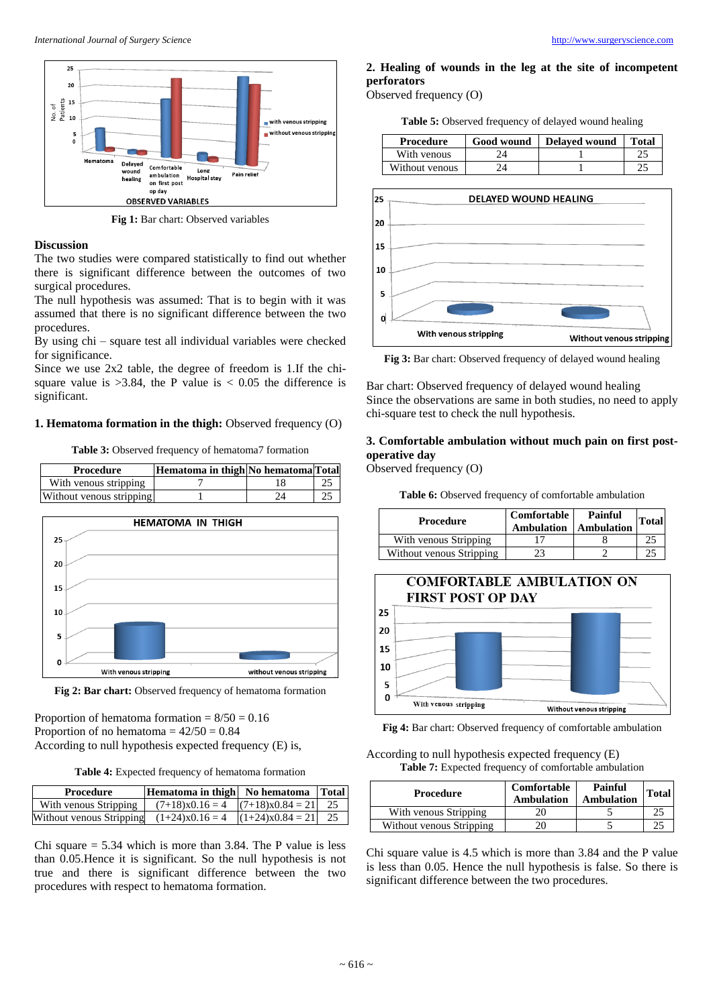

**Fig 1:** Bar chart: Observed variables

#### **Discussion**

The two studies were compared statistically to find out whether there is significant difference between the outcomes of two surgical procedures.

The null hypothesis was assumed: That is to begin with it was assumed that there is no significant difference between the two procedures.

By using chi – square test all individual variables were checked for significance.

Since we use 2x2 table, the degree of freedom is 1.If the chisquare value is  $>3.84$ , the P value is  $< 0.05$  the difference is significant.

### **1. Hematoma formation in the thigh:** Observed frequency (O)

**Table 3:** Observed frequency of hematoma7 formation



Fig 2: Bar chart: Observed frequency of hematoma formation

Proportion of hematoma formation  $= 8/50 = 0.16$ Proportion of no hematoma  $= 42/50 = 0.84$ According to null hypothesis expected frequency (E) is,

**Table 4:** Expected frequency of hematoma formation

| Procedure                                                          | Hematoma in thigh   No hematoma   Total |  |
|--------------------------------------------------------------------|-----------------------------------------|--|
| With venous Stripping                                              | $(7+18)x0.16 = 4$ $(7+18)x0.84 = 21$ 25 |  |
| Without venous Stripping $(1+24)x0.16 = 4$ $ (1+24)x0.84 = 21 $ 25 |                                         |  |

Chi square  $= 5.34$  which is more than 3.84. The P value is less than 0.05.Hence it is significant. So the null hypothesis is not true and there is significant difference between the two procedures with respect to hematoma formation.

# **2. Healing of wounds in the leg at the site of incompetent perforators**

Observed frequency (O)

**Table 5:** Observed frequency of delayed wound healing

| Procedure      | Good wound | Delayed wound | <b>Total</b> |
|----------------|------------|---------------|--------------|
| With venous    |            |               |              |
| Without venous |            |               | $\cap$       |



**Fig 3:** Bar chart: Observed frequency of delayed wound healing

Bar chart: Observed frequency of delayed wound healing Since the observations are same in both studies, no need to apply chi-square test to check the null hypothesis.

# **3. Comfortable ambulation without much pain on first postoperative day**

Observed frequency (O)

**Table 6:** Observed frequency of comfortable ambulation

| <b>Procedure</b>         | Comfortable<br>Ambulation | Painful<br>Ambulation | Total |
|--------------------------|---------------------------|-----------------------|-------|
| With venous Stripping    |                           |                       |       |
| Without venous Stripping | 23                        |                       |       |



**Fig 4:** Bar chart: Observed frequency of comfortable ambulation

According to null hypothesis expected frequency (E) **Table 7:** Expected frequency of comfortable ambulation

| <b>Procedure</b>         | Comfortable<br>Ambulation | <b>Painful</b><br>Ambulation | <b>Total</b> |
|--------------------------|---------------------------|------------------------------|--------------|
| With venous Stripping    |                           |                              |              |
| Without venous Stripping |                           |                              |              |

Chi square value is 4.5 which is more than 3.84 and the P value is less than 0.05. Hence the null hypothesis is false. So there is significant difference between the two procedures.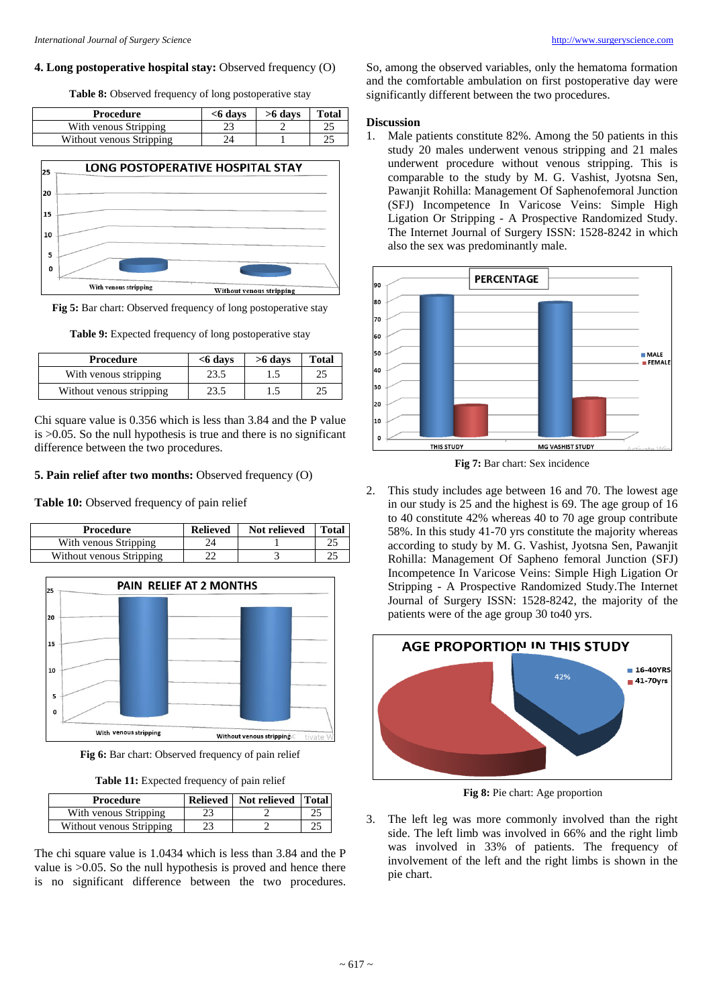#### **4. Long postoperative hospital stay: Observed frequency (O)**

**Table 8:** Observed frequency of long postoperative stay

| Procedure                | $<$ 6 davs | $>6$ days | <b>Total</b> |
|--------------------------|------------|-----------|--------------|
| With venous Stripping    | າາ         |           |              |
| Without venous Stripping | 2Δ         |           |              |



**Fig 5:** Bar chart: Observed frequency of long postoperative stay

**Table 9:** Expected frequency of long postoperative stay

| Procedure                | $<$ 6 days | $>6$ days | <b>Total</b> |
|--------------------------|------------|-----------|--------------|
| With venous stripping    | 23.5       |           |              |
| Without venous stripping | 23.5       | 1.5       |              |

Chi square value is 0.356 which is less than 3.84 and the P value is >0.05. So the null hypothesis is true and there is no significant difference between the two procedures.

#### **5. Pain relief after two months:** Observed frequency (O)

# **Table 10:** Observed frequency of pain relief

| Procedure                | <b>Relieved</b> | Not relieved | <b>Total</b> |
|--------------------------|-----------------|--------------|--------------|
| With venous Stripping    |                 |              |              |
| Without venous Stripping |                 |              |              |



**Fig 6:** Bar chart: Observed frequency of pain relief

**Table 11:** Expected frequency of pain relief

| Procedure                | Relieved   Not relieved   Total |  |
|--------------------------|---------------------------------|--|
| With venous Stripping    |                                 |  |
| Without venous Stripping |                                 |  |

The chi square value is 1.0434 which is less than 3.84 and the P value is >0.05. So the null hypothesis is proved and hence there is no significant difference between the two procedures. So, among the observed variables, only the hematoma formation and the comfortable ambulation on first postoperative day were significantly different between the two procedures.

#### **Discussion**

1. Male patients constitute 82%. Among the 50 patients in this study 20 males underwent venous stripping and 21 males underwent procedure without venous stripping. This is comparable to the study by M. G. Vashist, Jyotsna Sen, Pawanjit Rohilla: Management Of Saphenofemoral Junction (SFJ) Incompetence In Varicose Veins: Simple High Ligation Or Stripping - A Prospective Randomized Study. The Internet Journal of Surgery ISSN: 1528-8242 in which also the sex was predominantly male.



**Fig 7:** Bar chart: Sex incidence

2. This study includes age between 16 and 70. The lowest age in our study is 25 and the highest is 69. The age group of 16 to 40 constitute 42% whereas 40 to 70 age group contribute 58%. In this study 41-70 yrs constitute the majority whereas according to study by M. G. Vashist, Jyotsna Sen, Pawanjit Rohilla: Management Of Sapheno femoral Junction (SFJ) Incompetence In Varicose Veins: Simple High Ligation Or Stripping - A Prospective Randomized Study.The Internet Journal of Surgery ISSN: 1528-8242, the majority of the patients were of the age group 30 to40 yrs.



**Fig 8:** Pie chart: Age proportion

3. The left leg was more commonly involved than the right side. The left limb was involved in 66% and the right limb was involved in 33% of patients. The frequency of involvement of the left and the right limbs is shown in the pie chart.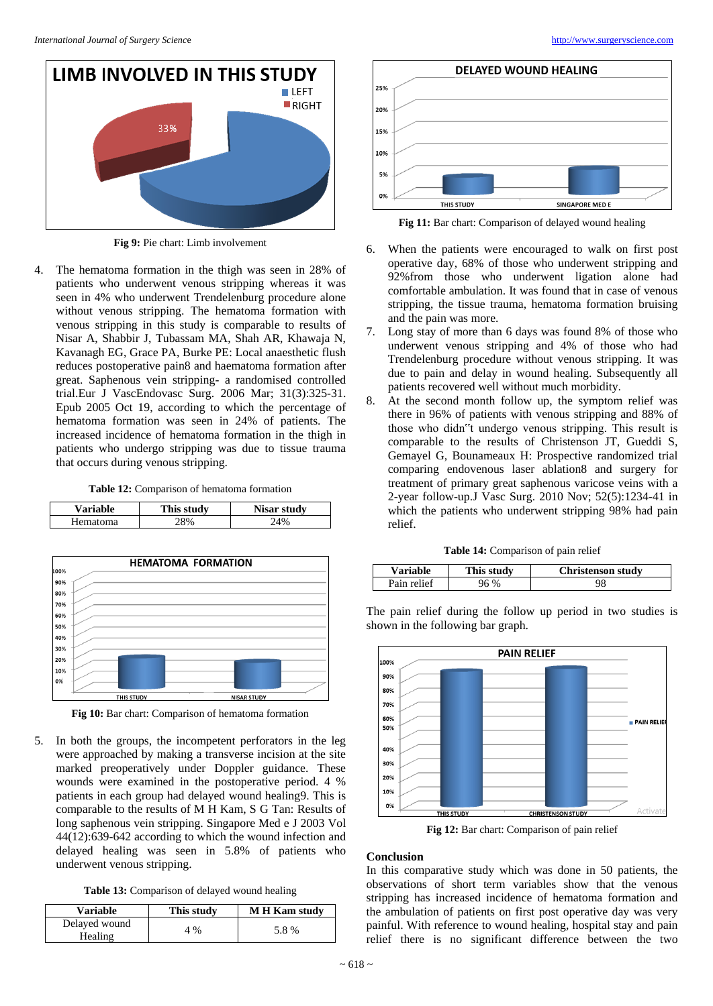**NISAR STUDY** 



THIS STUDY

5. In both the groups, the incompetent perforators in the leg were approached by making a transverse incision at the site marked preoperatively under Doppler guidance. These wounds were examined in the postoperative period. 4 % patients in each group had delayed wound healing9. This is comparable to the results of M H Kam, S G Tan: Results of long saphenous vein stripping. Singapore Med e J 2003 Vol 44(12):639-642 according to which the wound infection and delayed healing was seen in 5.8% of patients who underwent venous stripping.

**Table 13:** Comparison of delayed wound healing

| Variable                 | This study | <b>M H Kam study</b> |
|--------------------------|------------|----------------------|
| Delayed wound<br>Healing | 4 %        | 5.8%                 |



**LIMB INVOLVED IN THIS STUDY** 

 $I$  FFT

**Fig 9:** Pie chart: Limb involvement

4. The hematoma formation in the thigh was seen in 28% of patients who underwent venous stripping whereas it was seen in 4% who underwent Trendelenburg procedure alone without venous stripping. The hematoma formation with venous stripping in this study is comparable to results of Nisar A, Shabbir J, Tubassam MA, Shah AR, Khawaja N, Kavanagh EG, Grace PA, Burke PE: Local anaesthetic flush reduces postoperative pain8 and haematoma formation after great. Saphenous vein stripping- a randomised controlled trial.Eur J VascEndovasc Surg. 2006 Mar; 31(3):325-31. Epub 2005 Oct 19, according to which the percentage of hematoma formation was seen in 24% of patients. The increased incidence of hematoma formation in the thigh in patients who undergo stripping was due to tissue trauma that occurs during venous stripping.

|  |  | <b>Table 12:</b> Comparison of hematoma formation |  |
|--|--|---------------------------------------------------|--|
|--|--|---------------------------------------------------|--|

| <b>Variable</b> | This study      | Nisar study |
|-----------------|-----------------|-------------|
| Hematoma        | 90 <sub>6</sub> | 4%          |

**HEMATOMA FORMATION** 

009 90% s o se 70% 60% sne. 40% 30%

20%

10%

0%



**Fig 11:** Bar chart: Comparison of delayed wound healing

- 6. When the patients were encouraged to walk on first post operative day, 68% of those who underwent stripping and 92%from those who underwent ligation alone had comfortable ambulation. It was found that in case of venous stripping, the tissue trauma, hematoma formation bruising and the pain was more.
- 7. Long stay of more than 6 days was found 8% of those who underwent venous stripping and 4% of those who had Trendelenburg procedure without venous stripping. It was due to pain and delay in wound healing. Subsequently all patients recovered well without much morbidity.
- 8. At the second month follow up, the symptom relief was there in 96% of patients with venous stripping and 88% of those who didn"t undergo venous stripping. This result is comparable to the results of Christenson JT, Gueddi S, Gemayel G, Bounameaux H: Prospective randomized trial comparing endovenous laser ablation8 and surgery for treatment of primary great saphenous varicose veins with a 2-year follow-up.J Vasc Surg. 2010 Nov; 52(5):1234-41 in which the patients who underwent stripping 98% had pain relief.

|  | Table 14: Comparison of pain relief |  |  |
|--|-------------------------------------|--|--|
|  |                                     |  |  |

| <b>Variable</b> | This study | <b>Christenson study</b> |
|-----------------|------------|--------------------------|
| Pain relief     |            | 98                       |

The pain relief during the follow up period in two studies is shown in the following bar graph.



**Fig 12:** Bar chart: Comparison of pain relief

#### **Conclusion**

In this comparative study which was done in 50 patients, the observations of short term variables show that the venous stripping has increased incidence of hematoma formation and the ambulation of patients on first post operative day was very painful. With reference to wound healing, hospital stay and pain relief there is no significant difference between the two